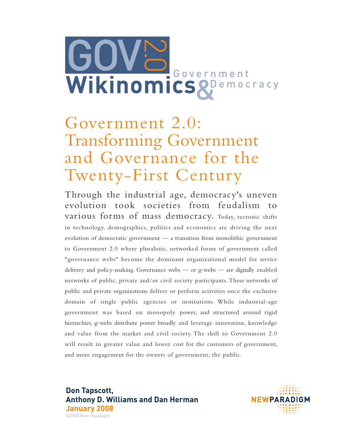

# Government 2.0: Transforming Government and Governance for the Twenty-First Century

Through the industrial age, democracy's uneven evolution took societies from feudalism to various forms of mass democracy. Today, tectonic shifts in technology, demographics, politics and economics are driving the next evolution of democratic government — a transition from monolithic government to Government 2.0 where pluralistic, networked forms of government called "governance webs" become the dominant organizational model for service delivery and policy-making. Governance webs — or g-webs — are digitally enabled networks of public, private and/or civil society participants. These networks of public and private organizations deliver or perform activities once the exclusive domain of single public agencies or institutions. While industrial-age government was based on monopoly power, and structured around rigid hierarchies, g-webs distribute power broadly and leverage innovation, knowledge and value from the market and civil society. The shift to Government 2.0 will result in greater value and lower cost for the customers of government, and more engagement for the owners of government; the public.

**Don Tapscott, Anthony D. Williams and Dan Herman January 2008** ©2008 New Paradigm

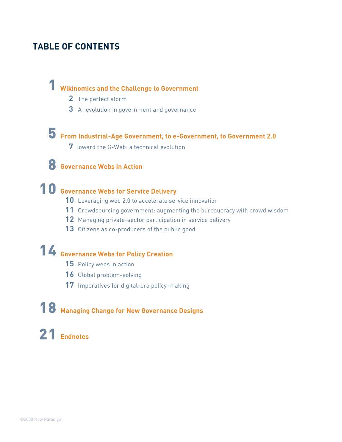### **TABLE OF CONTENTS**

## **Wikinomics and the Challenge to Government**

- The perfect storm
- A revolution in government and governance

# **From Industrial-Age Government, to e-Government, to Government 2.0**

Toward the G-Web: a technical evolution

## **Governance Webs in Action**

## **Governance Webs for Service Delivery**

- Leveraging web 2.0 to accelerate service innovation
- Crowdsourcing government: augmenting the bureaucracy with crowd wisdom
- Managing private-sector participation in service delivery
- Citizens as co-producers of the public good

## **Governance Webs for Policy Creation**

- Policy webs in action
- Global problem-solving
- Imperatives for digital-era policy-making

## **Managing Change for New Governance Designs**

## **Endnotes**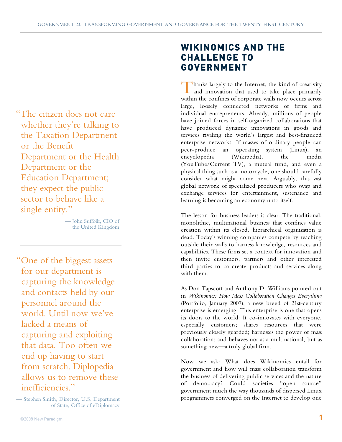"The citizen does not care whether they're talking to the Taxation Department or the Benefit Department or the Health Department or the Education Department; they expect the public sector to behave like a single entity."

> –– John Suffolk, CIO of the United Kingdom

"One of the biggest assets for our department is capturing the knowledge and contacts held by our personnel around the world. Until now we've lacked a means of capturing and exploiting that data. Too often we end up having to start from scratch. Diplopedia allows us to remove these inefficiencies."

–– Stephen Smith, Director, U.S. Department of State, Office of eDiplomacy

## **WIKINOMICS AND THE CHALLENGE TO GOVERNMENT**

hanks largely to the Internet, the kind of creativity Thanks largely to the Internet, the kind of creativity<br>and innovation that used to take place primarily within the confines of corporate walls now occurs across large, loosely connected networks of firms and individual entrepreneurs. Already, millions of people have joined forces in self-organized collaborations that have produced dynamic innovations in goods and services rivaling the world's largest and best-financed enterprise networks. If masses of ordinary people can peer-produce an operating system (Linux), an encyclopedia (Wikipedia), the media (YouTube/Current TV), a mutual fund, and even a physical thing such as a motorcycle, one should carefully consider what might come next. Arguably, this vast global network of specialized producers who swap and exchange services for entertainment, sustenance and learning is becoming an economy unto itself.

The lesson for business leaders is clear: The traditional, monolithic, multinational business that confines value creation within its closed, hierarchical organization is dead. Today's winning companies compete by reaching outside their walls to harness knowledge, resources and capabilities. These firms set a context for innovation and then invite customers, partners and other interested third parties to co-create products and services along with them.

As Don Tapscott and Anthony D. Williams pointed out in *Wikinomics: How Mass Collaboration Changes Everything*  (Portfolio, January 2007), a new breed of 21st-century enterprise is emerging. This enterprise is one that opens its doors to the world: It co-innovates with everyone, especially customers; shares resources that were previously closely guarded; harnesses the power of mass collaboration; and behaves not as a multinational, but as something new—a truly global firm.

Now we ask: What does Wikinomics entail for government and how will mass collaboration transform the business of delivering public services and the nature of democracy? Could societies "open source" government much the way thousands of dispersed Linux programmers converged on the Internet to develop one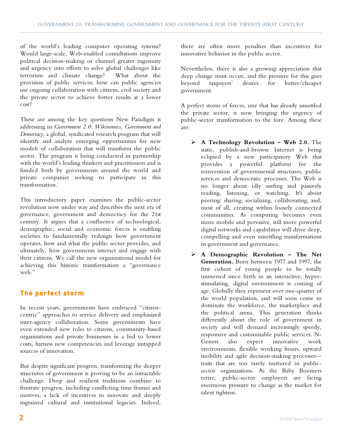of the world's leading computer operating systems? Would large-scale, Web-enabled consultations improve political decision-making or channel greater ingenuity and urgency into efforts to solve global challenges like terrorism and climate change? What about the provision of public services; how can public agencies use ongoing collaboration with citizens, civil society and the private sector to achieve better results at a lower cost?

These are among the key questions New Paradigm is addressing in *Government 2.0: Wikinomics, Government and Democracy*, a global, syndicated research program that will identify and analyze emerging opportunities for new models of collaboration that will transform the public sector. The program is being conducted in partnership with the world's leading thinkers and practitioners and is funded both by governments around the world and private companies seeking to participate in this transformation.

This introductory paper examines the public-sector revolution now under way and describes the next era of governance, government and democracy for the 21st century. It argues that a confluence of technological, demographic, social and economic forces is enabling societies to fundamentally redesign how government operates, how and what the public sector provides, and ultimately, how governments interact and engage with their citizens. We call the new organizational model for achieving this historic transformation a "governance web"

#### **The perfect storm**

In recent years, governments have embraced "citizencentric" approaches to service delivery and emphasized inter-agency collaboration. Some governments have even extended new roles to citizens, community-based organizations and private businesses in a bid to lower costs, harness new competencies and leverage untapped sources of innovation.

But despite significant progress, transforming the deeper structures of government is proving to be an intractable challenge. Deep and resilient traditions combine to frustrate progress, including conflicting time frames and motives, a lack of incentives to innovate and deeply ingrained cultural and institutional legacies. Indeed,

there are often more penalties than incentives for innovative behavior in the public sector.

Nevertheless, there is also a growing appreciation that deep change must occur, and the pressure for this goes<br>beyond taxpayers' desires for better/cheaper desires for better/cheaper government.

A perfect storm of forces, one that has already unsettled the private sector, is now bringing the urgency of public-sector transformation to the fore. Among these are:

- **A Technology Revolution Web 2.0.** The static, publish-and-browse Internet is being eclipsed by a new participatory Web that provides a powerful platform for the reinvention of governmental structures, public services and democratic processes. The Web is no longer about idly surfing and passively reading, listening, or watching. It's about peering: sharing, socializing, collaborating, and, most of all, creating within loosely connected communities. As computing becomes even more mobile and pervasive, still more powerful digital networks and capabilities will drive deep, compelling and even unsettling transformations in government and governance.
- **A Demographic Revolution The Net Generation.** Born between 1977 and 1997, the first cohort of young people to be totally immersed since birth in an interactive, hyperstimulating, digital environment is coming of age. Globally they represent over one-quarter of the world population, and will soon come to dominate the workforce, the marketplace and the political arena. This generation thinks differently about the role of government in society and will demand increasingly speedy, responsive and customizable public services. N-Geners also expect innovative work environments, flexible working hours, upward mobility and agile decision-making processes traits that are too rarely nurtured in publicsector organizations. As the Baby Boomers retire, public-sector employers are facing enormous pressure to change as the market for talent tightens.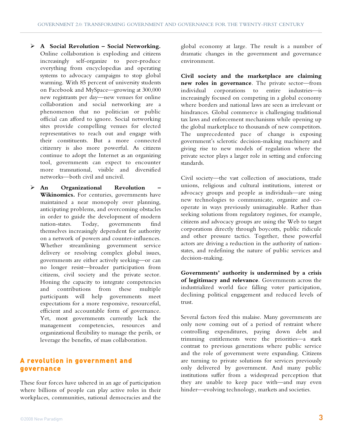- **A Social Revolution Social Networking.** Online collaboration is exploding and citizens increasingly self-organize to peer-produce everything from encyclopedias and operating systems to advocacy campaigns to stop global warming. With 85 percent of university students on Facebook and MySpace—growing at 300,000 new registrants per day—new venues for online collaboration and social networking are a phenomenon that no politician or public official can afford to ignore. Social networking sites provide compelling venues for elected representatives to reach out and engage with their constituents. But a more connected citizenry is also more powerful. As citizens continue to adopt the Internet as an organizing tool, governments can expect to encounter more transnational, visible and diversified networks—both civil and uncivil.
- **An Organizational Revolution – Wikinomics.** For centuries, governments have maintained a near monopoly over planning, anticipating problems, and overcoming obstacles in order to guide the development of modern nation-states. Today, governments find themselves increasingly dependent for authority on a network of powers and counter-influences. Whether streamlining government service delivery or resolving complex global issues, governments are either actively seeking—or can no longer resist—broader participation from citizens, civil society and the private sector. Honing the capacity to integrate competencies and contributions from these multiple participants will help governments meet expectations for a more responsive, resourceful, efficient and accountable form of governance. Yet, most governments currently lack the management competencies, resources and organizational flexibility to manage the perils, or leverage the benefits, of mass collaboration.

#### **A revolution in government and governance**

These four forces have ushered in an age of participation where billions of people can play active roles in their workplaces, communities, national democracies and the global economy at large. The result is a number of dramatic changes in the government and governance environment.

**Civil society and the marketplace are claiming new roles in governance**. The private sector—from individual corporations to entire industries—is increasingly focused on competing in a global economy where borders and national laws are seen as irrelevant or hindrances. Global commerce is challenging traditional tax laws and enforcement mechanisms while opening up the global marketplace to thousands of new competitors. The unprecedented pace of change is exposing government's sclerotic decision-making machinery and giving rise to new models of regulation where the private sector plays a larger role in setting and enforcing standards.

Civil society—the vast collection of associations, trade unions, religious and cultural institutions, interest or advocacy groups and people as individuals—are using new technologies to communicate, organize and cooperate in ways previously unimaginable. Rather than seeking solutions from regulatory regimes, for example, citizens and advocacy groups are using the Web to target corporations directly through boycotts, public ridicule and other pressure tactics. Together, these powerful actors are driving a reduction in the authority of nationstates, and redefining the nature of public services and decision-making.

**Governments' authority is undermined by a crisis of legitimacy and relevance**. Governments across the industrialized world face falling voter participation, declining political engagement and reduced levels of trust.

Several factors feed this malaise. Many governments are only now coming out of a period of restraint where controlling expenditures, paying down debt and trimming entitlements were the priorities—a stark contrast to previous generations where public service and the role of government were expanding. Citizens are turning to private solutions for services previously only delivered by government. And many public institutions suffer from a widespread perception that they are unable to keep pace with—and may even hinder—evolving technology, markets and societies.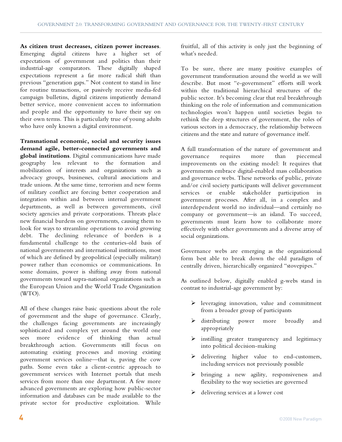**As citizen trust decreases, citizen power increases**. Emerging digital citizens have a higher set of expectations of government and politics than their industrial-age comparators. These digitally shaped expectations represent a far more radical shift than previous "generation gaps." Not content to stand in line for routine transactions, or passively receive media-fed campaign bulletins, digital citizens impatiently demand better service, more convenient access to information and people and the opportunity to have their say on their own terms. This is particularly true of young adults who have only known a digital environment.

**Transnational economic, social and security issues demand agile, better-connected governments and global institutions**. Digital communications have made geography less relevant to the formation and mobilization of interests and organizations such as advocacy groups, businesses, cultural associations and trade unions. At the same time, terrorism and new forms of military conflict are forcing better cooperation and integration within and between internal government departments, as well as between governments, civil society agencies and private corporations. Threats place new financial burdens on governments, causing them to look for ways to streamline operations to avoid growing debt. The declining relevance of borders is a fundamental challenge to the centuries-old basis of national governments and international institutions, most of which are defined by geopolitical (especially military) power rather than economics or communications. In some domains, power is shifting away from national governments toward supra-national organizations such as the European Union and the World Trade Organization (WTO).

All of these changes raise basic questions about the role of government and the shape of governance. Clearly, the challenges facing governments are increasingly sophisticated and complex yet around the world one sees more evidence of thinking than actual breakthrough action. Governments still focus on automating existing processes and moving existing government services online—that is, paving the cow paths. Some even take a client-centric approach to government services with Internet portals that mesh services from more than one department. A few more advanced governments are exploring how public-sector information and databases can be made available to the private sector for productive exploitation. While

fruitful, all of this activity is only just the beginning of what's needed.

To be sure, there are many positive examples of government transformation around the world as we will describe. But most "e-government" efforts still work within the traditional hierarchical structures of the public sector. It's becoming clear that real breakthrough thinking on the role of information and communication technologies won't happen until societies begin to rethink the deep structures of government, the roles of various sectors in a democracy, the relationship between citizens and the state and nature of governance itself.

A full transformation of the nature of government and governance requires more than piecemeal improvements on the existing model: It requires that governments embrace digital-enabled mass collaboration and governance webs. These networks of public, private and/or civil society participants will deliver government services or enable stakeholder participation in government processes. After all, in a complex and interdependent world no individual—and certainly no company or government—is an island. To succeed, governments must learn how to collaborate more effectively with other governments and a diverse array of social organizations.

Governance webs are emerging as the organizational form best able to break down the old paradigm of centrally driven, hierarchically organized "stovepipes."

As outlined below, digitally enabled g-webs stand in contrast to industrial-age government by:

- leveraging innovation, value and commitment from a broader group of participants
- distributing power more broadly and appropriately
- $\triangleright$  instilling greater transparency and legitimacy into political decision-making
- $\blacktriangleright$  delivering higher value to end-customers, including services not previously possible
- bringing a new agility, responsiveness and flexibility to the way societies are governed
- $\triangleright$  delivering services at a lower cost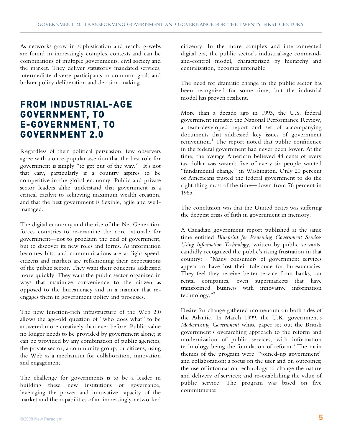As networks grow in sophistication and reach, g-webs are found in increasingly complex contexts and can be combinations of multiple governments, civil society and the market. They deliver statutorily mandated services, intermediate diverse participants to common goals and bolster policy deliberation and decision-making.

### **FROM INDUSTRIAL-AGE GOVERNMENT, TO E-GOVERNMENT, TO GOVERNMENT 2.0**

Regardless of their political persuasion, few observers agree with a once-popular assertion that the best role for government is simply "to get out of the way." It's not that easy, particularly if a country aspires to be competitive in the global economy. Public and private sector leaders alike understand that government is a critical catalyst to achieving maximum wealth creation, and that the best government is flexible, agile and wellmanaged.

The digital economy and the rise of the Net Generation forces countries to re-examine the core rationale for government—not to proclaim the end of government, but to discover its new roles and forms. As information becomes bits, and communications are at light speed, citizens and markets are refashioning their expectations of the public sector. They want their concerns addressed more quickly. They want the public sector organized in ways that maximize convenience to the citizen as opposed to the bureaucracy and in a manner that reengages them in government policy and processes.

The new function-rich infrastructure of the Web 2.0 allows the age-old question of "who does what" to be answered more creatively than ever before. Public value no longer needs to be provided by government alone; it can be provided by any combination of public agencies, the private sector, a community group, or citizens, using the Web as a mechanism for collaboration, innovation and engagement.

The challenge for governments is to be a leader in building these new institutions of governance, leveraging the power and innovative capacity of the market and the capabilities of an increasingly networked

citizenry. In the more complex and interconnected digital era, the public sector's industrial-age commandand-control model, characterized by hierarchy and centralization, becomes untenable.

The need for dramatic change in the public sector has been recognized for some time, but the industrial model has proven resilient.

More than a decade ago in 1993, the U.S. federal government initiated the National Performance Review, a team-developed report and set of accompanying documents that addressed key issues of government reinvention. $^1$  The report noted that public confidence in the federal government had never been lower. At the time, the average American believed 48 cents of every tax dollar was wasted; five of every six people wanted "fundamental change" in Washington. Only 20 percent of Americans trusted the federal government to do the right thing most of the time—down from 76 percent in 1965.

The conclusion was that the United States was suffering the deepest crisis of faith in government in memory.

A Canadian government report published at the same time entitled *Blueprint for Renewing Government Services Using Information Technology,* written by public servants, candidly recognized the public's rising frustration in that country: "Many consumers of government services appear to have lost their tolerance for bureaucracies. They feel they receive better service from banks, car rental companies, even supermarkets that have transformed business with innovative information technology."2

Desire for change gathered momentum on both sides of the Atlantic. In March 1999, the U.K. government's *Modernizing Government* white paper set out the British government's overarching approach to the reform and modernization of public services, with information technology being the foundation of reform. 3 The main themes of the program were: "joined-up government" and collaboration; a focus on the user and on outcomes; the use of information technology to change the nature and delivery of services; and re-establishing the value of public service. The program was based on five commitments: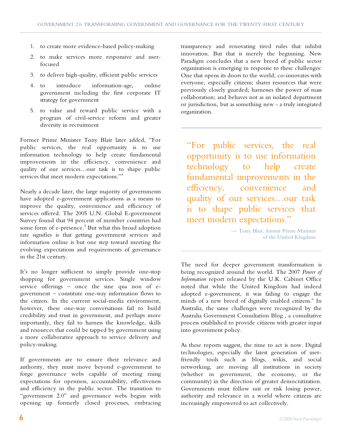- 1. to create more evidence-based policy-making
- 2. to make services more responsive and userfocused
- 3. to deliver high-quality, efficient public services
- 4. to introduce information-age, online government including the first corporate IT strategy for government
- 5. to value and reward public service with a program of civil-service reform and greater diversity in recruitment

Former Prime Minister Tony Blair later added, "For public services, the real opportunity is to use information technology to help create fundamental improvements in the efficiency, convenience and quality of our services…our task is to shape public services that meet modern expectations."<sup>4</sup>

Nearly a decade later, the large majority of governments have adopted e-government applications as a means to improve the quality, convenience and efficiency of services offered. The 2005 U.N. Global E-government Survey found that 94 percent of member countries had some form of e-presence.<sup>5</sup> But what this broad adoption rate signifies is that getting government services and information online is but one step toward meeting the evolving expectations and requirements of governance in the 21st century.

It's no longer sufficient to simply provide one-stop shopping for government services. Single window service offerings – once the sine qua non of egovernment – constitute one-way information flows to the citizen. In the current social-media environment, however, these one-way conversations fail to build credibility and trust in government, and perhaps more importantly, they fail to harness the knowledge, skills and resources that could be tapped by government using a more collaborative approach to service delivery and policy-making.

If governments are to ensure their relevance and authority, they must move beyond e-government to forge governance webs capable of meeting rising expectations for openness, accountability, effectiveness and efficiency in the public sector. The transition to "government 2.0" and governance webs begins with opening up formerly closed processes, embracing

transparency and renovating tired rules that inhibit innovation. But that is merely the beginning. New Paradigm concludes that a new breed of public sector organization is emerging in response to these challenges: One that opens its doors to the world; co-innovates with everyone, especially citizens; shares resources that were previously closely guarded; harnesses the power of mass collaboration; and behaves not as an isolated department or jurisdiction, but as something new - a truly integrated organization.

"For public services, the real opportunity is to use information technology to help create fundamental improvements in the efficiency, convenience and quality of our services…our task is to shape public services that meet modern expectations."

> — Tony Blair, former Prime Minister of the United Kingdom

The need for deeper government transformation is being recognized around the world. The 2007 *Power of Information* report released by the U.K. Cabinet Office noted that while the United Kingdom had indeed adopted e-government, it was failing to engage the minds of a new breed of digitally enabled citizens.<sup>6</sup> In Australia, the same challenges were recognized by the Australia Government Consultation Blog , a consultative process established to provide citizens with greater input into government policy.

As these reports suggest, the time to act is now. Digital technologies, especially the latest generation of userfriendly tools such as blogs, wikis, and social networking, are moving all institutions in society (whether in government, the economy, or the community) in the direction of greater democratization. Governments must follow suit or risk losing power, authority and relevance in a world where citizens are increasingly empowered to act collectively.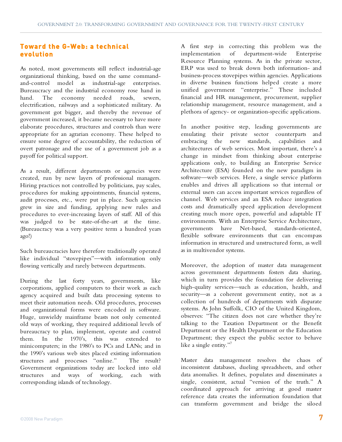#### **Toward the G-Web: a technical evolution**

As noted, most governments still reflect industrial-age organizational thinking, based on the same commandand-control model as industrial-age enterprises. Bureaucracy and the industrial economy rose hand in hand. The economy needed roads, sewers, electrification, railways and a sophisticated military. As government got bigger, and thereby the revenue of government increased, it became necessary to have more elaborate procedures, structures and controls than were appropriate for an agrarian economy. These helped to ensure some degree of accountability, the reduction of overt patronage and the use of a government job as a payoff for political support.

As a result, different departments or agencies were created, run by new layers of professional managers. Hiring practices not controlled by politicians, pay scales, procedures for making appointments, financial systems, audit processes, etc., were put in place. Such agencies grew in size and funding, applying new rules and procedures to ever-increasing layers of staff. All of this was judged to be state-of-the-art at the time. (Bureaucracy was a very positive term a hundred years ago!)

Such bureaucracies have therefore traditionally operated like individual "stovepipes"—with information only flowing vertically and rarely between departments.

During the last forty years, governments, like corporations, applied computers to their work as each agency acquired and built data processing systems to meet their automation needs. Old procedures, processes and organizational forms were encoded in software. Huge, unwieldy mainframe beasts not only cemented old ways of working, they required additional levels of bureaucracy to plan, implement, operate and control them. In the 1970's, this was extended to minicomputers; in the 1980's to PCs and LANs; and in the 1990's various web sites placed existing information structures and processes "online." The result? Government organizations today are locked into old structures and ways of working, each with corresponding islands of technology.

A first step in correcting this problem was the implementation of department-wide Enterprise Resource Planning systems. As in the private sector, ERP was used to break down both information- and business-process stovepipes within agencies. Applications in diverse business functions helped create a more unified government "enterprise." These included financial and HR management, procurement, supplier relationship management, resource management, and a plethora of agency- or organization-specific applications.

In another positive step, leading governments are emulating their private sector counterparts and embracing the new standards, capabilities and architectures of web services. Most important, there's a change in mindset from thinking about enterprise applications only, to building an Enterprise Service Architecture (ESA) founded on the new paradigm in software—web services. Here, a single service platform enables and drives all applications so that internal or external users can access important services regardless of channel. Web services and an ESA reduce integration costs and dramatically speed application development creating much more open, powerful and adaptable IT environments. With an Enterprise Service Architecture, governments have Net-based, standards-oriented, flexible software environments that can encompass information in structured and unstructured form, as well as in multivendor systems.

Moreover, the adoption of master data management across government departments fosters data sharing, which in turn provides the foundation for delivering high-quality services—such as education, health, and security—as a coherent government entity, not as a collection of hundreds of departments with disparate systems. As John Suffolk, CIO of the United Kingdom, observes: "The citizen does not care whether they're talking to the Taxation Department or the Benefit Department or the Health Department or the Education Department; they expect the public sector to behave like a single entity."7

Master data management resolves the chaos of inconsistent databases, dueling spreadsheets, and other data anomalies. It defines, populates and disseminates a single, consistent, actual "version of the truth." A coordinated approach for arriving at good master reference data creates the information foundation that can transform government and bridge the siloed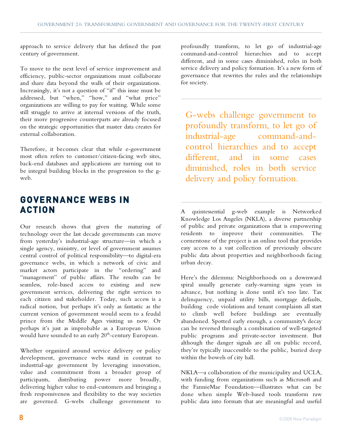approach to service delivery that has defined the past century of government.

To move to the next level of service improvement and efficiency, public-sector organizations must collaborate and share data beyond the walls of their organizations. Increasingly, it's not a question of "if" this issue must be addressed, but "when," "how," and "what price" organizations are willing to pay for waiting. While some still struggle to arrive at internal versions of the truth, their more progressive counterparts are already focused on the strategic opportunities that master data creates for external collaboration.

Therefore, it becomes clear that while e-government most often refers to customer/citizen-facing web sites, back-end databases and applications are turning out to be integral building blocks in the progression to the gweb.

### **GOVERNANCE WEBS IN ACTION**

Our research shows that given the maturing of technology over the last decade governments can move from yesterday's industrial-age structure—in which a single agency, ministry, or level of government assumes central control of political responsibility—to digital-era governance webs, in which a network of civic and market actors participate in the "ordering" and "management" of public affairs. The results can be seamless, role-based access to existing and new government services, delivering the right services to each citizen and stakeholder. Today, such access is a radical notion, but perhaps it's only as fantastic as the current version of government would seem to a feudal prince from the Middle Ages visiting us now. Or perhaps it's just as improbable as a European Union would have sounded to an early  $20^{\text{th}}$ -century European.

Whether organized around service delivery or policy development, governance webs stand in contrast to industrial-age government by leveraging innovation, value and commitment from a broader group of participants, distributing power more broadly, delivering higher value to end-customers and bringing a fresh responsiveness and flexibility to the way societies are governed. G-webs challenge government to

profoundly transform, to let go of industrial-age command-and-control hierarchies and to accept different, and in some cases diminished, roles in both service delivery and policy formation. It's a new form of governance that rewrites the rules and the relationships for society.

G-webs challenge government to profoundly transform, to let go of industrial-age command-andcontrol hierarchies and to accept different, and in some cases diminished, roles in both service delivery and policy formation.

A quintessential g-web example is Networked Knowledge Los Angeles (NKLA), a diverse partnership of public and private organizations that is empowering residents to improve their communities. The cornerstone of the project is an online tool that provides easy access to a vast collection of previously obscure public data about properties and neighborhoods facing urban decay.

Here's the dilemma: Neighborhoods on a downward spiral usually generate early-warning signs years in advance, but nothing is done until it's too late. Tax delinquency, unpaid utility bills, mortgage defaults, building code violations and tenant complaints all start to climb well before buildings are eventually abandoned. Spotted early enough, a community's decay can be reversed through a combination of well-targeted public programs and private-sector investment. But although the danger signals are all on public record, they're typically inaccessible to the public, buried deep within the bowels of city hall.

NKLA—a collaboration of the municipality and UCLA, with funding from organizations such as Microsoft and the FannieMae Foundation—illustrates what can be done when simple Web-based tools transform raw public data into formats that are meaningful and useful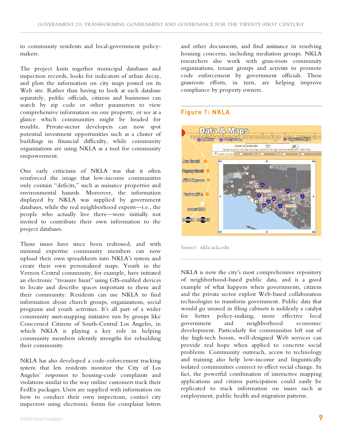to community residents and local-government policymakers.

The project knits together municipal databases and inspection records, looks for indicators of urban decay, and plots the information on city maps posted on its Web site. Rather than having to look at each database separately, public officials, citizens and businesses can search by zip code or other parameters to view comprehensive information on one property, or see at a glance which communities might be headed for trouble. Private-sector developers can now spot potential investment opportunities such as a cluster of buildings in financial difficulty, while community organizations are using NKLA as a tool for community empowerment.

One early criticisms of NKLA was that it often reinforced the image that low-income communities only contain "deficits," such as nuisance properties and environmental hazards. Moreover, the information displayed by NKLA was supplied by government databases, while the real neighborhood experts—i.e., the people who actually live there—were initially not invited to contribute their own information to the project databases.

Those issues have since been redressed, and with minimal expertise community members can now upload their own spreadsheets into NKLA's system and create their own personalized maps. Youth in the Vernon Central community, for example, have initiated an electronic "treasure hunt" using GIS-enabled devices to locate and describe spaces important to them and their community. Residents can use NKLA to find information about church groups, organizations, social programs and youth activities. It's all part of a wider community asset-mapping initiative run by groups like Concerned Citizens of South-Central Los Angeles, in which NKLA is playing a key role in helping community members identify strengths for rebuilding their community.

NKLA has also developed a code-enforcement tracking system that lets residents monitor the City of Los Angeles' responses to housing-code complaints and violations similar to the way online customers track their FedEx packages. Users are supplied with information on how to conduct their own inspections, contact city inspectors using electronic forms for complaint letters

©2008 New Paradigm **9**

and other documents, and find assistance in resolving housing concerns, including mediation groups. NKLA researchers also work with grass-roots community organizations, tenant groups and activists to promote code enforcement by government officials. These grassroots efforts, in turn, are helping improve compliance by property owners.

#### Figure 1: NKLA



Source: nkla.ucla.edu

NKLA is now the city's most comprehensive repository of neighborhood-based public data, and is a good example of what happens when governments, citizens and the private sector exploit Web-based collaboration technologies to transform government. Public data that would go unused in filing cabinets is suddenly a catalyst for better policy-making, more effective local government and neighborhood economic development. Particularly for communities left out of the high-tech boom, well-designed Web services can provide real hope when applied to concrete social problems. Community outreach, access to technology and training also help low-income and linguistically isolated communities connect to effect social change. In fact, the powerful combination of interactive mapping applications and citizen participation could easily be replicated to track information on issues such as employment, public health and migration patterns.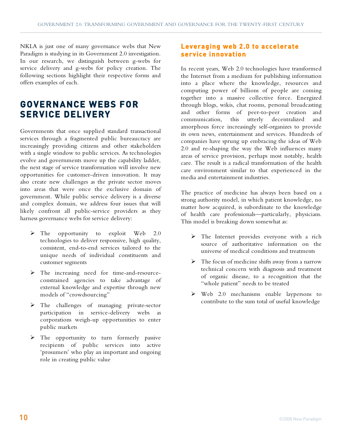NKLA is just one of many governance webs that New Paradigm is studying in its Government 2.0 investigation. In our research, we distinguish between g-webs for service delivery and g-webs for policy creation. The following sections highlight their respective forms and offers examples of each.

### **GOVERNANCE WEBS FOR SERVICE DELIVERY**

Governments that once supplied standard transactional services through a fragmented public bureaucracy are increasingly providing citizens and other stakeholders with a single window to public services. As technologies evolve and governments move up the capability ladder, the next stage of service transformation will involve new opportunities for customer-driven innovation. It may also create new challenges as the private sector moves into areas that were once the exclusive domain of government. While public service delivery is a diverse and complex domain, we address four issues that will likely confront all public-service providers as they harness governance webs for service delivery:

- $\triangleright$  The opportunity to exploit Web 2.0 technologies to deliver responsive, high quality, consistent, end-to-end services tailored to the unique needs of individual constituents and customer segments
- The increasing need for time-and-resourceconstrained agencies to take advantage of external knowledge and expertise through new models of "crowdsourcing"
- > The challenges of managing private-sector participation in service-delivery webs as corporations weigh-up opportunities to enter public markets
- > The opportunity to turn formerly passive recipients of public services into active 'prosumers' who play an important and ongoing role in creating public value

#### **Leveraging web 2.0 to accelerate service innovation**

In recent years, Web 2.0 technologies have transformed the Internet from a medium for publishing information into a place where the knowledge, resources and computing power of billions of people are coming together into a massive collective force. Energized through blogs, wikis, chat rooms, personal broadcasting and other forms of peer-to-peer creation and communication, this utterly decentralized and amorphous force increasingly self-organizes to provide its own news, entertainment and services. Hundreds of companies have sprung up embracing the ideas of Web 2.0 and re-shaping the way the Web influences many areas of service provision, perhaps most notably, health care. The result is a radical transformation of the health care environment similar to that experienced in the media and entertainment industries.

The practice of medicine has always been based on a strong authority model, in which patient knowledge, no matter how acquired, is subordinate to the knowledge of health care professionals—particularly, physicians. This model is breaking down somewhat as:

- $\triangleright$  The Internet provides everyone with a rich source of authoritative information on the universe of medical conditions and treatments
- $\triangleright$  The focus of medicine shifts away from a narrow technical concern with diagnosis and treatment of organic disease, to a recognition that the "whole patient" needs to be treated
- Web 2.0 mechanisms enable laypersons to contribute to the sum total of useful knowledge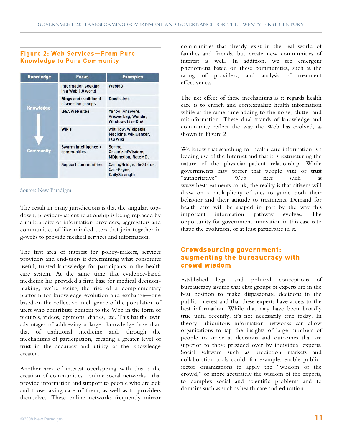#### Figure 2: Web Services—From Pure Knowledge to Pure Community

| <b>Knowledge</b>                     | <b>Focus</b>                                      | <b>Examples</b>                                                  |
|--------------------------------------|---------------------------------------------------|------------------------------------------------------------------|
| <b>Knowledge</b><br><b>Community</b> | Information seeking<br>in a Web 1.0 world         | <b>WebMD</b>                                                     |
|                                      | <b>Blogs and traditional</b><br>discussion groups | Doctissimo                                                       |
|                                      | Q&A Web sites                                     | Yahoo! Answers,<br>Answerbag, Wondir,<br><b>Windows Live QnA</b> |
|                                      | <b>Wikis</b>                                      | wikiHow, Wikipedia<br>Medicine, wikiCancer,<br><b>Flu Wiki</b>   |
|                                      | Swarm intelligence +<br>communities               | Sermo,<br>OrganizedWisdom,<br><b>MDjunction, RateMDs</b>         |
|                                      | <b>Support communities</b>                        | CaringBridge, theStatus,<br>CarePages,<br>DailyStrength          |

Source: New Paradigm

The result in many jurisdictions is that the singular, topdown, provider-patient relationship is being replaced by a multiplicity of information providers, aggregators and communities of like-minded users that join together in g-webs to provide medical services and information.

The first area of interest for policy-makers, services providers and end-users is determining what constitutes useful, trusted knowledge for participants in the health care system. At the same time that evidence-based medicine has provided a firm base for medical decisionmaking, we're seeing the rise of a complementary platform for knowledge evolution and exchange—one based on the collective intelligence of the population of users who contribute content to the Web in the form of pictures, videos, opinions, diaries, etc. This has the twin advantages of addressing a larger knowledge base than that of traditional medicine and, through the mechanisms of participation, creating a greater level of trust in the accuracy and utility of the knowledge created.

Another area of interest overlapping with this is the creation of communities—online social networks—that provide information and support to people who are sick and those taking care of them, as well as to providers themselves. These online networks frequently mirror

communities that already exist in the real world of families and friends, but create new communities of interest as well. In addition, we see emergent phenomena based on these communities, such as the rating of providers, and analysis of treatment effectiveness.

The net effect of these mechanisms as it regards health care is to enrich and contextualize health information while at the same time adding to the noise, clutter and misinformation. These dual strands of knowledge and community reflect the way the Web has evolved, as shown in Figure 2.

We know that searching for health care information is a leading use of the Internet and that it is restructuring the nature of the physician-patient relationship. While governments may prefer that people visit or trust "authoritative" Web sites such as www.besttreatments.co.uk, the reality is that citizens will draw on a multiplicity of sites to guide both their behavior and their attitude to treatments. Demand for health care will be shaped in part by the way this<br>important information pathway evolves. The important information pathway evolves. The opportunity for government innovation in this case is to shape the evolution, or at least participate in it.

#### **Crowdsourcing government: augmenting the bureaucracy with crowd wisdom**

Established legal and political conceptions of bureaucracy assume that elite groups of experts are in the best position to make dispassionate decisions in the public interest and that these experts have access to the best information. While that may have been broadly true until recently, it's not necessarily true today. In theory, ubiquitous information networks can allow organizations to tap the insights of large numbers of people to arrive at decisions and outcomes that are superior to those presided over by individual experts. Social software such as prediction markets and collaboration tools could, for example, enable publicsector organizations to apply the "wisdom of the crowd," or more accurately the wisdom of the experts, to complex social and scientific problems and to domains such as such as health care and education.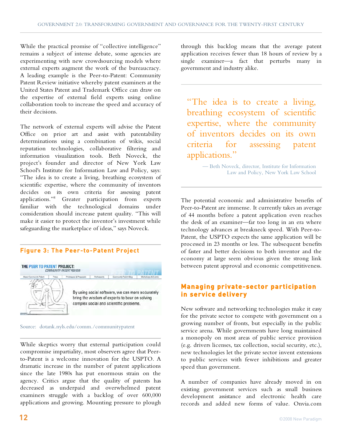While the practical promise of "collective intelligence" remains a subject of intense debate, some agencies are experimenting with new crowdsourcing models where external experts augment the work of the bureaucracy. A leading example is the Peer-to-Patent: Community Patent Review initiative whereby patent examiners at the United States Patent and Trademark Office can draw on the expertise of external field experts using online collaboration tools to increase the speed and accuracy of their decisions.

The network of external experts will advise the Patent Office on prior art and assist with patentability determinations using a combination of wikis, social reputation technologies, collaborative filtering and information visualization tools. Beth Noveck, the project's founder and director of New York Law School's Institute for Information Law and Policy, says: "The idea is to create a living, breathing ecosystem of scientific expertise, where the community of inventors decides on its own criteria for assessing patent applications."8 Greater participation from experts familiar with the technological domains under consideration should increase patent quality. "This will make it easier to protect the inventor's investment while safeguarding the marketplace of ideas," says Noveck.

#### Figure 3: The Peer-to-Patent Project



Source: dotank.nyls.edu/comm./communitypatent

While skeptics worry that external participation could compromise impartiality, most observers agree that Peerto-Patent is a welcome innovation for the USPTO. A dramatic increase in the number of patent applications since the late 1980s has put enormous strain on the agency. Critics argue that the quality of patents has decreased as underpaid and overwhelmed patent examiners struggle with a backlog of over 600,000 applications and growing. Mounting pressure to plough

through this backlog means that the average patent application receives fewer than 18 hours of review by a single examiner—a fact that perturbs many in government and industry alike.

"The idea is to create a living, breathing ecosystem of scientific expertise, where the community of inventors decides on its own criteria for assessing patent applications."

> — Beth Noveck, director, Institute for Information Law and Policy, New York Law School

The potential economic and administrative benefits of Peer-to-Patent are immense. It currently takes an average of 44 months before a patent application even reaches the desk of an examiner—far too long in an era where technology advances at breakneck speed. With Peer-to-Patent, the USPTO expects the same application will be processed in 23 months or less. The subsequent benefits of faster and better decisions to both inventor and the economy at large seem obvious given the strong link between patent approval and economic competitiveness.

#### **Managing private-sector participation in service delivery**

New software and networking technologies make it easy for the private sector to compete with government on a growing number of fronts, but especially in the public service arena. While governments have long maintained a monopoly on most areas of public service provision (e.g. drivers licenses, tax collection, social security, etc.), new technologies let the private sector invent extensions to public services with fewer inhibitions and greater speed than government.

A number of companies have already moved in on existing government services such as small business development assistance and electronic health care records and added new forms of value. Onvia.com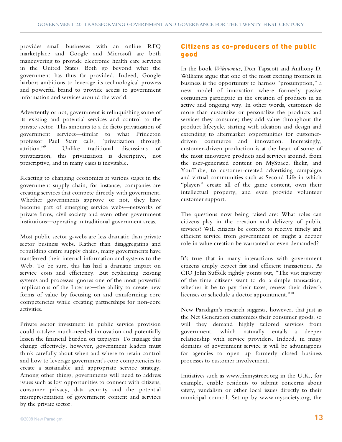provides small businesses with an online RFQ marketplace and Google and Microsoft are both maneuvering to provide electronic health care services in the United States. Both go beyond what the government has thus far provided. Indeed, Google harbors ambitions to leverage its technological prowess and powerful brand to provide access to government information and services around the world.

Advertently or not, government is relinquishing some of its existing and potential services and control to the private sector. This amounts to a de facto privatization of government services—similar to what Princeton professor Paul Starr calls, "privatization through attrition."<sup>9</sup> Unlike traditional discussions of privatization, this privatization is descriptive, not prescriptive, and in many cases is inevitable.

Reacting to changing economics at various stages in the government supply chain, for instance, companies are creating services that compete directly with government. Whether governments approve or not, they have become part of emerging service webs—networks of private firms, civil society and even other government institutions—operating in traditional government areas.

Most public sector g-webs are less dramatic than private sector business webs. Rather than disaggregating and rebuilding entire supply chains, many governments have transferred their internal information and systems to the Web. To be sure, this has had a dramatic impact on service costs and efficiency. But replicating existing systems and processes ignores one of the most powerful implications of the Internet—the ability to create new forms of value by focusing on and transforming core competencies while creating partnerships for non-core activities.

Private sector investment in public service provision could catalyze much-needed innovation and potentially lessen the financial burden on taxpayers. To manage this change effectively, however, government leaders must think carefully about when and where to retain control and how to leverage government's core competencies to create a sustainable and appropriate service strategy. Among other things, governments will need to address issues such as lost opportunities to connect with citizens, consumer privacy, data security and the potential misrepresentation of government content and services by the private sector.

#### **Citizens as co-producers of the public good**

In the book *Wikinomics*, Don Tapscott and Anthony D. Williams argue that one of the most exciting frontiers in business is the opportunity to harness "prosumption," a new model of innovation where formerly passive consumers participate in the creation of products in an active and ongoing way. In other words, customers do more than customize or personalize the products and services they consume; they add value throughout the product lifecycle, starting with ideation and design and extending to aftermarket opportunities for customerdriven commerce and innovation. Increasingly, customer-driven production is at the heart of some of the most innovative products and services around, from the user-generated content on MySpace, flickr, and YouTube, to customer-created advertising campaigns and virtual communities such as Second Life in which "players" create all of the game content, own their intellectual property, and even provide volunteer customer support.

The questions now being raised are: What roles can citizens play in the creation and delivery of public services? Will citizens be content to receive timely and efficient service from government or might a deeper role in value creation be warranted or even demanded?

It's true that in many interactions with government citizens simply expect fast and efficient transactions. As CIO John Suffolk rightly points out, "The vast majority of the time citizens want to do a simple transaction, whether it be to pay their taxes, renew their driver's licenses or schedule a doctor appointment."10

New Paradigm's research suggests, however, that just as the Net Generation customizes their consumer goods, so will they demand highly tailored services from government, which naturally entails a deeper relationship with service providers. Indeed, in many domains of government service it will be advantageous for agencies to open up formerly closed business processes to customer involvement.

Initiatives such as www.fixmystreet.org in the U.K., for example, enable residents to submit concerns about safety, vandalism or other local issues directly to their municipal council. Set up by www.mysociety.org, the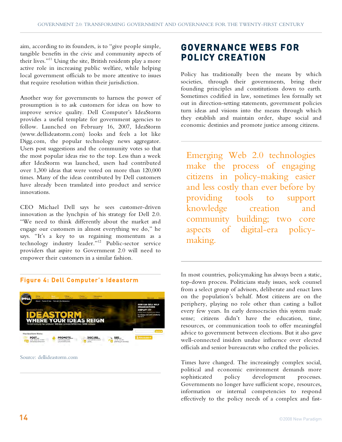aim, according to its founders, is to "give people simple, tangible benefits in the civic and community aspects of their lives."<sup>11</sup> Using the site, British residents play a more active role in increasing public welfare, while helping local government officials to be more attentive to issues that require resolution within their jurisdiction.

Another way for governments to harness the power of prosumption is to ask customers for ideas on how to improve service quality. Dell Computer's IdeaStorm provides a useful template for government agencies to follow. Launched on February 16, 2007, IdeaStorm (www.dellideastorm.com) looks and feels a lot like Digg.com, the popular technology news aggregator. Users post suggestions and the community votes so that the most popular ideas rise to the top. Less than a week after IdeaStorm was launched, users had contributed over 1,300 ideas that were voted on more than 120,000 times. Many of the ideas contributed by Dell customers have already been translated into product and service innovations.

CEO Michael Dell says he sees customer-driven innovation as the lynchpin of his strategy for Dell 2.0. "We need to think differently about the market and engage our customers in almost everything we do," he says. "It's a key to us regaining momentum as a technology industry leader."12 Public-sector service providers that aspire to Government 2.0 will need to empower their customers in a similar fashion.

#### Figure 4: Dell Computer's Ideastorm



Source: dellideastorm.com

## **GOVERNANCE WEBS FOR POLICY CREATION**

Policy has traditionally been the means by which societies, through their governments, bring their founding principles and constitutions down to earth. Sometimes codified in law, sometimes less formally set out in direction-setting statements, government policies turn ideas and visions into the means through which they establish and maintain order, shape social and economic destinies and promote justice among citizens.

Emerging Web 2.0 technologies make the process of engaging citizens in policy-making easier and less costly than ever before by providing tools to support knowledge creation and community building; two core aspects of digital-era policymaking.

In most countries, policymaking has always been a static, top-down process. Politicians study issues, seek counsel from a select group of advisors, deliberate and enact laws on the population's behalf. Most citizens are on the periphery, playing no role other than casting a ballot every few years. In early democracies this system made sense; citizens didn't have the education, time, resources, or communication tools to offer meaningful advice to government between elections. But it also gave well-connected insiders undue influence over elected officials and senior bureaucrats who crafted the policies.

Times have changed. The increasingly complex social, political and economic environment demands more sophisticated policy development processes. Governments no longer have sufficient scope, resources, information or internal competencies to respond effectively to the policy needs of a complex and fast-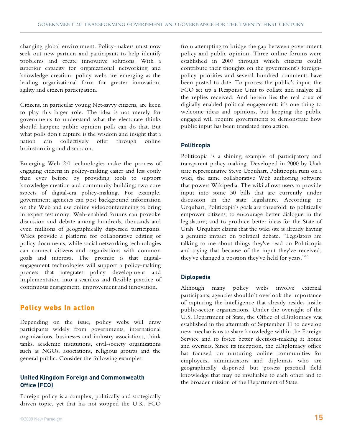changing global environment. Policy-makers must now seek out new partners and participants to help identify problems and create innovative solutions. With a superior capacity for organizational networking and knowledge creation, policy webs are emerging as the leading organizational form for greater innovation, agility and citizen participation.

Citizens, in particular young Net-savvy citizens, are keen to play this larger role. The idea is not merely for governments to understand what the electorate thinks should happen; public opinion polls can do that. But what polls don't capture is the wisdom and insight that a nation can collectively offer through online brainstorming and discussion.

Emerging Web 2.0 technologies make the process of engaging citizens in policy-making easier and less costly than ever before by providing tools to support knowledge creation and community building; two core aspects of digital-era policy-making. For example, government agencies can post background information on the Web and use online videoconferencing to bring in expert testimony. Web-enabled forums can provoke discussion and debate among hundreds, thousands and even millions of geographically dispersed participants. Wikis provide a platform for collaborative editing of policy documents, while social networking technologies can connect citizens and organizations with common goals and interests. The promise is that digitalengagement technologies will support a policy-making process that integrates policy development and implementation into a seamless and flexible practice of continuous engagement, improvement and innovation.

#### **Policy webs In action**

Depending on the issue, policy webs will draw participants widely from governments, international organizations, businesses and industry associations, think tanks, academic institutions, civil-society organizations such as NGOs, associations, religious groups and the general public. Consider the following examples:

#### **United Kingdom Foreign and Commonwealth Office (FCO)**

Foreign policy is a complex, politically and strategically driven topic, yet that has not stopped the U.K. FCO

from attempting to bridge the gap between government policy and public opinion. Three online forums were established in 2007 through which citizens could contribute their thoughts on the government's foreignpolicy priorities and several hundred comments have been posted to date. To process the public's input, the FCO set up a Response Unit to collate and analyze all the replies received. And herein lies the real crux of digitally enabled political engagement: it's one thing to welcome ideas and opinions, but keeping the public engaged will require governments to demonstrate how public input has been translated into action.

#### **Politicopia**

Politicopia is a shining example of participatory and transparent policy making. Developed in 2000 by Utah state representative Steve Urquhart, Politicopia runs on a wiki, the same collaborative Web authoring software that powers Wikipedia. The wiki allows users to provide input into some 30 bills that are currently under discussion in the state legislature. According to Urquhart, Politicopia's goals are threefold: to politically empower citizens; to encourage better dialogue in the legislature; and to produce better ideas for the State of Utah. Urquhart claims that the wiki site is already having a genuine impact on political debate. "Legislators are talking to me about things they've read on Politicopia and saying that because of the input they've received, they've changed a position they've held for years."13

#### **Diplopedia**

Although many policy webs involve external participants, agencies shouldn't overlook the importance of capturing the intelligence that already resides inside public-sector organizations. Under the oversight of the U.S. Department of State, the Office of eDiplomacy was established in the aftermath of September 11 to develop new mechanisms to share knowledge within the Foreign Service and to foster better decision-making at home and overseas. Since its inception, the eDiplomacy office has focused on nurturing online communities for employees, administrators and diplomats who are geographically dispersed but possess practical field knowledge that may be invaluable to each other and to the broader mission of the Department of State.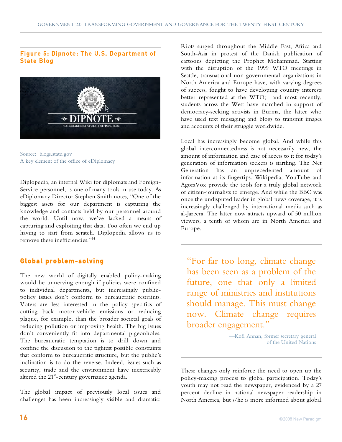#### Figure 5: Dipnote: The U.S. Department of State Blog



Source: blogs.state.gov A key element of the office of eDiplomacy

Diplopedia, an internal Wiki for diplomats and Foreign-Service personnel, is one of many tools in use today. As eDiplomacy Director Stephen Smith notes, "One of the biggest assets for our department is capturing the knowledge and contacts held by our personnel around the world. Until now, we've lacked a means of capturing and exploiting that data. Too often we end up having to start from scratch. Diplopedia allows us to remove these inefficiencies."14

#### **Global problem-solving**

The new world of digitally enabled policy-making would be unnerving enough if policies were confined to individual departments, but increasingly publicpolicy issues don't conform to bureaucratic restraints. Voters are less interested in the policy specifics of cutting back motor-vehicle emissions or reducing plaque, for example, than the broader societal goals of reducing pollution or improving health. The big issues don't conveniently fit into departmental pigeonholes. The bureaucratic temptation is to drill down and confine the discussion to the tightest possible constraints that conform to bureaucratic structure, but the public's inclination is to do the reverse. Indeed, issues such as security, trade and the environment have inextricably altered the  $21<sup>st</sup>$ -century governance agenda.

The global impact of previously local issues and challenges has been increasingly visible and dramatic:

Riots surged throughout the Middle East, Africa and South-Asia in protest of the Danish publication of cartoons depicting the Prophet Mohammad. Starting with the disruption of the 1999 WTO meetings in Seattle, transnational non-governmental organizations in North America and Europe have, with varying degrees of success, fought to have developing country interests better represented at the WTO; and most recently, students across the West have marched in support of democracy-seeking activists in Burma, the latter who have used text messaging and blogs to transmit images and accounts of their struggle worldwide.

Local has increasingly become global. And while this global interconnectedness is not necessarily new, the amount of information and ease of access to it for today's generation of information seekers is startling. The Net Generation has an unprecedented amount of information at its fingertips. Wikipedia, YouTube and AgoraVox provide the tools for a truly global network of citizen-journalists to emerge. And while the BBC was once the undisputed leader in global news coverage, it is increasingly challenged by international media such as al-Jazeera. The latter now attracts upward of 50 million viewers, a tenth of whom are in North America and Europe.

"For far too long, climate change has been seen as a problem of the future, one that only a limited range of ministries and institutions should manage. This must change now. Climate change requires broader engagement."

> —Kofi Annan, former secretary general of the United Nations

These changes only reinforce the need to open up the policy-making process to global participation. Today's youth may not read the newspaper, evidenced by a 27 percent decline in national newspaper readership in North America, but s/he is more informed about global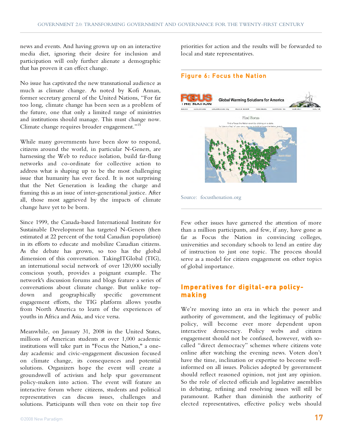news and events. And having grown up on an interactive media diet, ignoring their desire for inclusion and participation will only further alienate a demographic that has proven it can effect change.

No issue has captivated the new transnational audience as much as climate change. As noted by Kofi Annan, former secretary general of the United Nations, "For far too long, climate change has been seen as a problem of the future, one that only a limited range of ministries and institutions should manage. This must change now. Climate change requires broader engagement."15

While many governments have been slow to respond, citizens around the world, in particular N-Geners, are harnessing the Web to reduce isolation, build far-flung networks and co-ordinate for collective action to address what is shaping up to be the most challenging issue that humanity has ever faced. It is not surprising that the Net Generation is leading the charge and framing this as an issue of inter-generational justice. After all, those most aggrieved by the impacts of climate change have yet to be born.

Since 1999, the Canada-based International Institute for Sustainable Development has targeted N-Geners (then estimated at 22 percent of the total Canadian population) in its efforts to educate and mobilize Canadian citizens. As the debate has grown, so too has the global dimension of this conversation. TakingITGlobal (TIG), an international social network of over 120,000 socially conscious youth, provides a poignant example. The network's discussion forums and blogs feature a series of conversations about climate change. But unlike topdown and geographically engagement efforts, the TIG platform allows youths from North America to learn of the experiences of youths in Africa and Asia, and vice versa.

Meanwhile, on January 31, 2008 in the United States, millions of American students at over 1,000 academic institutions will take part in "Focus the Nation," a oneday academic and civic-engagement discussion focused on climate change, its consequences and potential solutions. Organizers hope the event will create a groundswell of activism and help spur government policy-makers into action. The event will feature an interactive forum where citizens, students and political representatives can discuss issues, challenges and solutions. Participants will then vote on their top five

priorities for action and the results will be forwarded to local and state representatives.

#### Figure 6: Focus the Nation



Few other issues have garnered the attention of more than a million participants, and few, if any, have gone as far as Focus the Nation in convincing colleges, universities and secondary schools to lend an entire day of instruction to just one topic. The process should serve as a model for citizen engagement on other topics of global importance.

#### **Imperatives for digital-era policymaking**

We're moving into an era in which the power and authority of government, and the legitimacy of public policy, will become ever more dependent upon interactive democracy. Policy webs and citizen engagement should not be confused, however, with socalled "direct democracy" schemes where citizens vote online after watching the evening news. Voters don't have the time, inclination or expertise to become wellinformed on all issues. Policies adopted by government should reflect reasoned opinion, not just any opinion. So the role of elected officials and legislative assemblies in debating, refining and resolving issues will still be paramount. Rather than diminish the authority of elected representatives, effective policy webs should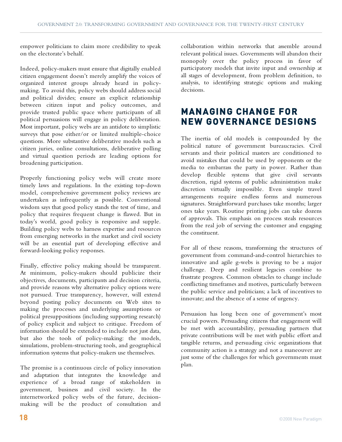empower politicians to claim more credibility to speak on the electorate's behalf.

Indeed, policy-makers must ensure that digitally enabled citizen engagement doesn't merely amplify the voices of organized interest groups already heard in policymaking. To avoid this, policy webs should address social and political divides; ensure an explicit relationship between citizen input and policy outcomes, and provide trusted public space where participants of all political persuasions will engage in policy deliberation. Most important, policy webs are an antidote to simplistic surveys that pose either/or or limited multiple-choice questions. More substantive deliberative models such as citizen juries, online consultations, deliberative polling and virtual question periods are leading options for broadening participation.

Properly functioning policy webs will create more timely laws and regulations. In the existing top-down model, comprehensive government policy reviews are undertaken as infrequently as possible. Conventional wisdom says that good policy stands the test of time, and policy that requires frequent change is flawed. But in today's world, good policy is responsive and supple. Building policy webs to harness expertise and resources from emerging networks in the market and civil society will be an essential part of developing effective and forward-looking policy responses.

Finally, effective policy making should be transparent. At minimum, policy-makers should publicize their objectives, documents, participants and decision criteria, and provide reasons why alternative policy options were not pursued. True transparency, however, will extend beyond posting policy documents on Web sites to making the processes and underlying assumptions or political presuppositions (including supporting research) of policy explicit and subject to critique. Freedom of information should be extended to include not just data, but also the tools of policy-making: the models, simulations, problem-structuring tools, and geographical information systems that policy-makers use themselves.

The promise is a continuous circle of policy innovation and adaptation that integrates the knowledge and experience of a broad range of stakeholders in government, business and civil society. In the internetworked policy webs of the future, decisionmaking will be the product of consultation and

collaboration within networks that assemble around relevant political issues. Governments will abandon their monopoly over the policy process in favor of participatory models that invite input and ownership at all stages of development, from problem definition, to analysis, to identifying strategic options and making decisions.

## **MANAGING CHANGE FOR NEW GOVERNANCE DESIGNS**

The inertia of old models is compounded by the political nature of government bureaucracies. Civil servants and their political masters are conditioned to avoid mistakes that could be used by opponents or the media to embarrass the party in power. Rather than develop flexible systems that give civil servants discretion, rigid systems of public administration make discretion virtually impossible. Even simple travel arrangements require endless forms and numerous signatures. Straightforward purchases take months; larger ones take years. Routine printing jobs can take dozens of approvals. This emphasis on process steals resources from the real job of serving the customer and engaging the constituent.

For all of these reasons, transforming the structures of government from command-and-control hierarchies to innovative and agile g-webs is proving to be a major challenge. Deep and resilient legacies combine to frustrate progress. Common obstacles to change include conflicting timeframes and motives, particularly between the public service and politicians; a lack of incentives to innovate; and the absence of a sense of urgency.

Persuasion has long been one of government's most crucial powers. Persuading citizens that engagement will be met with accountability, persuading partners that private contributions will be met with public effort and tangible returns, and persuading civic organizations that community action is a strategy and not a maneouver are just some of the challenges for which governments must plan.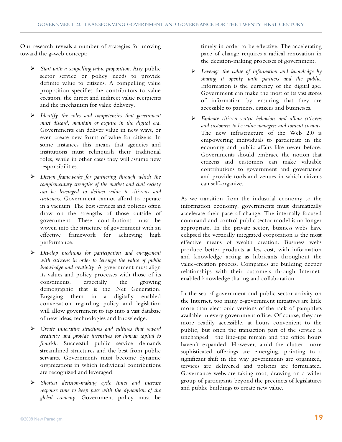Our research reveals a number of strategies for moving toward the g-web concept:

- *Start with a compelling value proposition*. Any public sector service or policy needs to provide definite value to citizens. A compelling value proposition specifies the contributors to value creation, the direct and indirect value recipients and the mechanism for value delivery.
- *Identify the roles and competencies that government must discard, maintain or acquire in the digital era*. Governments can deliver value in new ways, or even create new forms of value for citizens. In some instances this means that agencies and institutions must relinquish their traditional roles, while in other cases they will assume new responsibilities.
- *Design frameworks for partnering through which the complementary strengths of the market and civil society can be leveraged to deliver value to citizens and customers*. Government cannot afford to operate in a vacuum. The best services and policies often draw on the strengths of those outside of government. These contributions must be woven into the structure of government with an effective framework for achieving high performance.
- *Develop mediums for participation and engagement with citizens in order to leverage the value of public knowledge and creativity*. A government must align its values and policy processes with those of its<br>constituents, especially the growing constituents, especially the growing demographic that is the Net Generation. Engaging them in a digitally enabled conversation regarding policy and legislation will allow government to tap into a vast database of new ideas, technologies and knowledge.
- *Create innovative structures and cultures that reward creativity and provide incentives for human capital to flourish*. Successful public service demands streamlined structures and the best from public servants. Governments must become dynamic organizations in which individual contributions are recognized and leveraged.
- *Shorten decision-making cycle times and increase response time to keep pace with the dynamism of the global economy*. Government policy must be

timely in order to be effective. The accelerating pace of change requires a radical renovation in the decision-making processes of government.

- *Leverage the value of information and knowledge by sharing it openly with partners and the public*. Information is the currency of the digital age. Government can make the most of its vast stores of information by ensuring that they are accessible to partners, citizens and businesses.
- *Embrace citizen-centric behaviors and allow citizens and customers to be value managers and content creators*. The new infrastructure of the Web 2.0 is empowering individuals to participate in the economy and public affairs like never before. Governments should embrace the notion that citizens and customers can make valuable contributions to government and governance and provide tools and venues in which citizens can self-organize.

As we transition from the industrial economy to the information economy, governments must dramatically accelerate their pace of change. The internally focused command-and-control public sector model is no longer appropriate. In the private sector, business webs have eclipsed the vertically integrated corporation as the most effective means of wealth creation. Business webs produce better products at less cost, with information and knowledge acting as lubricants throughout the value-creation process. Companies are building deeper relationships with their customers through Internetenabled knowledge sharing and collaboration.

In the sea of government and public sector activity on the Internet, too many e-government initiatives are little more than electronic versions of the rack of pamphlets available in every government office. Of course, they are more readily accessible, at hours convenient to the public, but often the transaction part of the service is unchanged: the line-ups remain and the office hours haven't expanded. However, amid the clutter, more sophisticated offerings are emerging, pointing to a significant shift in the way governments are organized, services are delivered and policies are formulated. Governance webs are taking root, drawing on a wider group of participants beyond the precincts of legislatures and public buildings to create new value.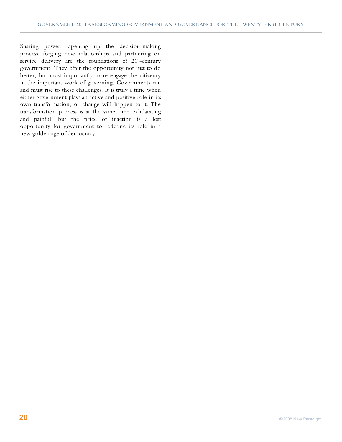Sharing power, opening up the decision-making process, forging new relationships and partnering on service delivery are the foundations of  $21<sup>st</sup>$ -century government. They offer the opportunity not just to do better, but most importantly to re-engage the citizenry in the important work of governing. Governments can and must rise to these challenges. It is truly a time when either government plays an active and positive role in its own transformation, or change will happen to it. The transformation process is at the same time exhilarating and painful, but the price of inaction is a lost opportunity for government to redefine its role in a new golden age of democracy.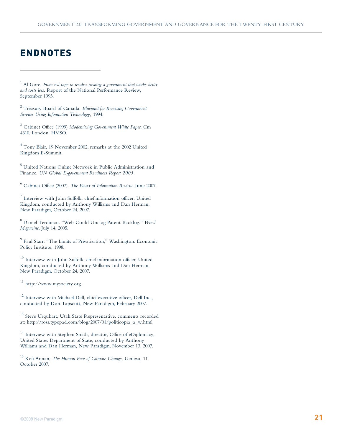## **ENDNOTES**

<sup>1</sup> Al Gore. *From red tape to results: creating a government that works better and costs less*. Report of the National Performance Review, September 1993.

<sup>2</sup> Treasury Board of Canada. *Blueprint for Renewing Government Services Using Information Technology,* 1994.

<sup>3</sup> Cabinet Office (1999) *Modernizing Government White Paper*, Cm 4310, London: HMSO.

<sup>4</sup> Tony Blair, 19 November 2002, remarks at the 2002 United Kingdom E-Summit.

<sup>5</sup> United Nations Online Network in Public Administration and Finance. *UN Global E-government Readiness Report 2005.*

6 Cabinet Office (2007). *The Power of Information Review.* June 2007.

<sup>7</sup> Interview with John Suffolk, chief information officer, United Kingdom, conducted by Anthony Williams and Dan Herman, New Paradigm, October 24, 2007.

<sup>8</sup> Daniel Terdiman. "Web Could Unclog Patent Backlog." *Wired Magazine*, July 14, 2005.

<sup>9</sup> Paul Starr. "The Limits of Privatization," Washington: Economic Policy Institute, 1998.

 $10$  Interview with John Suffolk, chief information officer, United Kingdom, conducted by Anthony Williams and Dan Herman, New Paradigm, October 24, 2007.

<sup>11</sup> http://www.mysociety.org

<sup>12</sup> Interview with Michael Dell, chief executive officer, Dell Inc., conducted by Don Tapscott, New Paradigm, February 2007.

 $^{13}$  Steve Urquhart, Utah State Representative, comments recorded at: http://ross.typepad.com/blog/2007/01/politicopia\_a\_w.html

<sup>14</sup> Interview with Stephen Smith, director, Office of eDiplomacy, United States Department of State, conducted by Anthony Williams and Dan Herman, New Paradigm, November 13, 2007.

15 Kofi Annan, *The Human Face of Climate Change,* Geneva, 11 October 2007.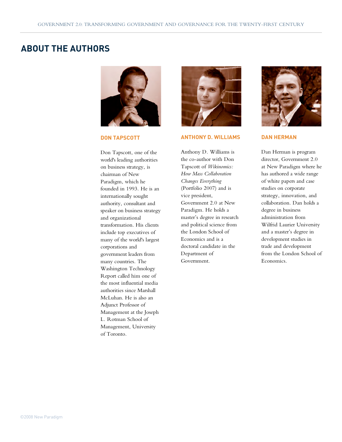### **ABOUT THE AUTHORS**



**DON TAPSCOTT**

Don Tapscott, one of the world's leading authorities on business strategy, is chairman of New Paradigm, which he founded in 1993. He is an internationally sought authority, consultant and speaker on business strategy and organizational transformation. His clients include top executives of many of the world's largest corporations and government leaders from many countries. The Washington Technology Report called him one of the most influential media authorities since Marshall McLuhan. He is also an Adjunct Professor of Management at the Joseph L. Rotman School of Management, University of Toronto.



#### **ANTHONY D. WILLIAMS**

Anthony D. Williams is the co-author with Don Tapscott of *Wikinomics: How Mass Collaboration Changes Everything* (Portfolio 2007) and is vice president, Government 2.0 at New Paradigm. He holds a master's degree in research and political science from the London School of Economics and is a doctoral candidate in the Department of Government.



#### **DAN HERMAN**

Dan Herman is program director, Government 2.0 at New Paradigm where he has authored a wide range of white papers and case studies on corporate strategy, innovation, and collaboration. Dan holds a degree in business administration from Wilfrid Laurier University and a master's degree in development studies in trade and development from the London School of Economics.